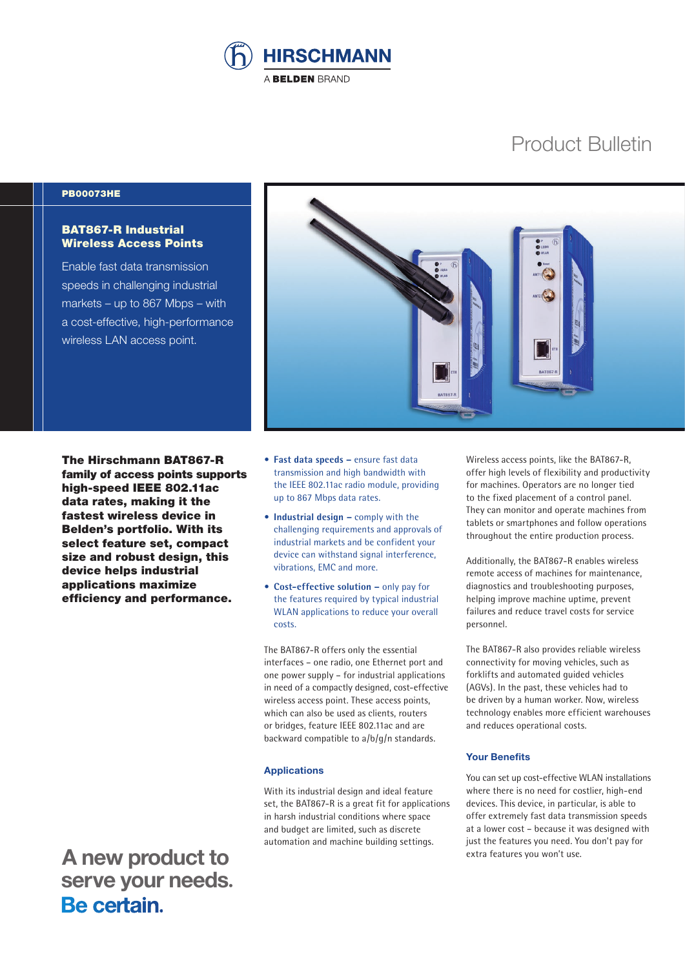

# Product Bulletin

#### PB00073HE

### BAT867-R Industrial Wireless Access Points

Enable fast data transmission speeds in challenging industrial markets – up to 867 Mbps – with a cost-effective, high-performance wireless LAN access point.



The Hirschmann BAT867-R family of access points supports high-speed IEEE 802.11ac data rates, making it the fastest wireless device in Belden's portfolio. With its select feature set, compact size and robust design, this device helps industrial applications maximize efficiency and performance.

 **A new product to serve your needs.**<br>**Be certain**.

- **Fast data speeds –** ensure fast data transmission and high bandwidth with the IEEE 802.11ac radio module, providing up to 867 Mbps data rates.
- **Industrial design –** comply with the challenging requirements and approvals of industrial markets and be confident your device can withstand signal interference, vibrations, EMC and more.
- **Cost-effective solution –** only pay for the features required by typical industrial WLAN applications to reduce your overall costs.

The BAT867-R offers only the essential interfaces – one radio, one Ethernet port and one power supply – for industrial applications in need of a compactly designed, cost-effective wireless access point. These access points, which can also be used as clients, routers or bridges, feature IEEE 802.11ac and are backward compatible to a/b/g/n standards.

#### **Applications**

With its industrial design and ideal feature set, the BAT867-R is a great fit for applications in harsh industrial conditions where space and budget are limited, such as discrete automation and machine building settings.

Wireless access points, like the BAT867-R, offer high levels of flexibility and productivity for machines. Operators are no longer tied to the fixed placement of a control panel. They can monitor and operate machines from tablets or smartphones and follow operations throughout the entire production process.

Additionally, the BAT867-R enables wireless remote access of machines for maintenance, diagnostics and troubleshooting purposes, helping improve machine uptime, prevent failures and reduce travel costs for service personnel.

The BAT867-R also provides reliable wireless connectivity for moving vehicles, such as forklifts and automated guided vehicles (AGVs). In the past, these vehicles had to be driven by a human worker. Now, wireless technology enables more efficient warehouses and reduces operational costs.

#### **Your Benefits**

You can set up cost-effective WLAN installations where there is no need for costlier, high-end devices. This device, in particular, is able to offer extremely fast data transmission speeds at a lower cost – because it was designed with just the features you need. You don't pay for extra features you won't use.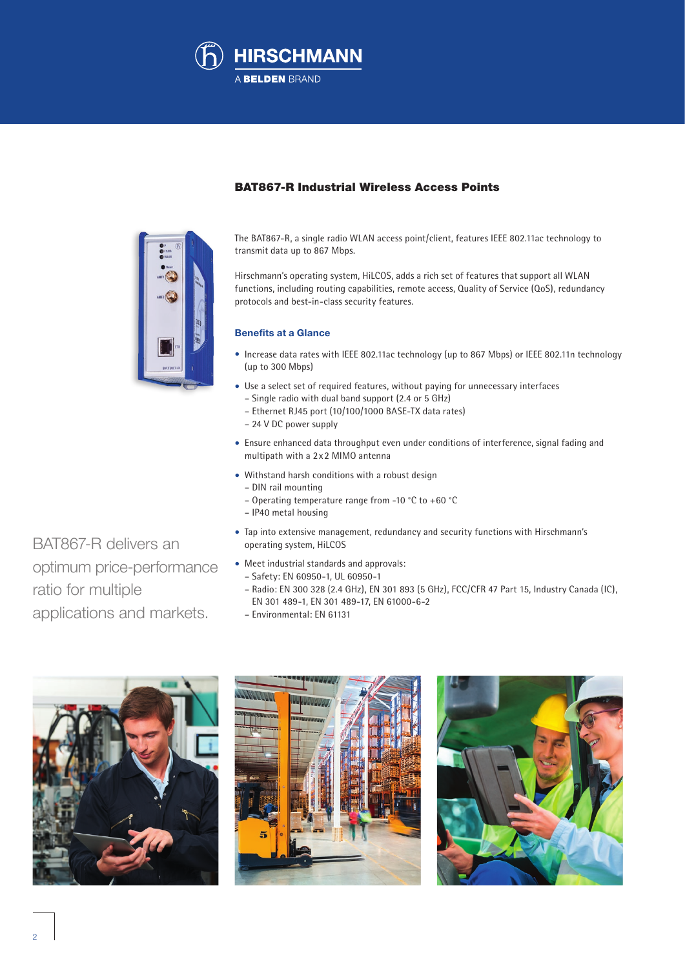



# BAT867-R Industrial Wireless Access Points

The BAT867-R, a single radio WLAN access point/client, features IEEE 802.11ac technology to transmit data up to 867 Mbps.

Hirschmann's operating system, HiLCOS, adds a rich set of features that support all WLAN functions, including routing capabilities, remote access, Quality of Service (QoS), redundancy protocols and best-in-class security features.

#### **Benefits at a Glance**

- Increase data rates with IEEE 802.11ac technology (up to 867 Mbps) or IEEE 802.11n technology (up to 300 Mbps)
- Use a select set of required features, without paying for unnecessary interfaces – Single radio with dual band support (2.4 or 5 GHz)
	- Ethernet RJ45 port (10/100/1000 BASE-TX data rates)
	- 24 V DC power supply
- Ensure enhanced data throughput even under conditions of interference, signal fading and multipath with a 2x2 MIMO antenna
- Withstand harsh conditions with a robust design
	- DIN rail mounting
	- Operating temperature range from -10 °C to +60 °C
	- IP40 metal housing
- Tap into extensive management, redundancy and security functions with Hirschmann's operating system, HiLCOS
- Meet industrial standards and approvals:
- Safety: EN 60950-1, UL 60950-1
- Radio: EN 300 328 (2.4 GHz), EN 301 893 (5 GHz), FCC/CFR 47 Part 15, Industry Canada (IC), EN 301 489-1, EN 301 489-17, EN 61000-6-2
- Environmental: EN 61131







BAT867-R delivers an optimum price-performance ratio for multiple applications and markets.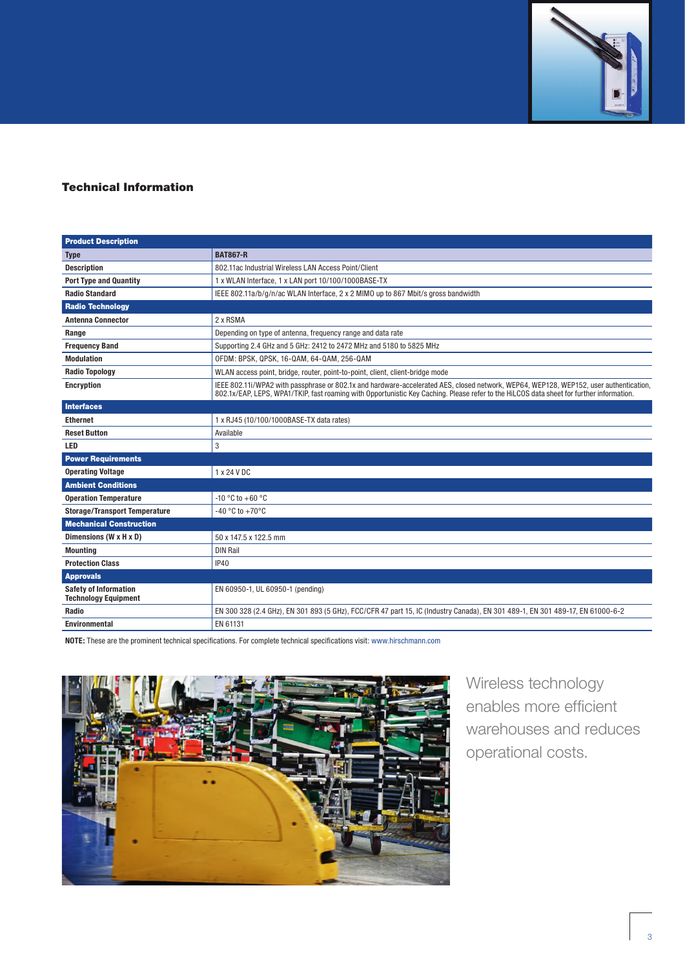

# Technical Information

| <b>Product Description</b>                                  |                                                                                                                                                                                                                                                                                   |
|-------------------------------------------------------------|-----------------------------------------------------------------------------------------------------------------------------------------------------------------------------------------------------------------------------------------------------------------------------------|
| <b>Type</b>                                                 | <b>BAT867-R</b>                                                                                                                                                                                                                                                                   |
| <b>Description</b>                                          | 802.11ac Industrial Wireless LAN Access Point/Client                                                                                                                                                                                                                              |
| <b>Port Type and Quantity</b>                               | 1 x WLAN Interface, 1 x LAN port 10/100/1000BASE-TX                                                                                                                                                                                                                               |
| <b>Radio Standard</b>                                       | IEEE 802.11a/b/g/n/ac WLAN Interface, 2 x 2 MIMO up to 867 Mbit/s gross bandwidth                                                                                                                                                                                                 |
| <b>Radio Technology</b>                                     |                                                                                                                                                                                                                                                                                   |
| <b>Antenna Connector</b>                                    | 2 x RSMA                                                                                                                                                                                                                                                                          |
| Range                                                       | Depending on type of antenna, frequency range and data rate                                                                                                                                                                                                                       |
| <b>Frequency Band</b>                                       | Supporting 2.4 GHz and 5 GHz: 2412 to 2472 MHz and 5180 to 5825 MHz                                                                                                                                                                                                               |
| <b>Modulation</b>                                           | OFDM: BPSK, QPSK, 16-QAM, 64-QAM, 256-QAM                                                                                                                                                                                                                                         |
| <b>Radio Topology</b>                                       | WLAN access point, bridge, router, point-to-point, client, client-bridge mode                                                                                                                                                                                                     |
| <b>Encryption</b>                                           | IEEE 802.11i/WPA2 with passphrase or 802.1x and hardware-accelerated AES, closed network, WEP64, WEP128, WEP152, user authentication,<br>802.1x/EAP, LEPS, WPA1/TKIP, fast roaming with Opportunistic Key Caching. Please refer to the HiLCOS data sheet for further information. |
| <b>Interfaces</b>                                           |                                                                                                                                                                                                                                                                                   |
| <b>Ethernet</b>                                             | 1 x RJ45 (10/100/1000BASE-TX data rates)                                                                                                                                                                                                                                          |
| <b>Reset Button</b>                                         | Available                                                                                                                                                                                                                                                                         |
| LED                                                         | 3                                                                                                                                                                                                                                                                                 |
| <b>Power Requirements</b>                                   |                                                                                                                                                                                                                                                                                   |
| <b>Operating Voltage</b>                                    | 1 x 24 V DC                                                                                                                                                                                                                                                                       |
| <b>Ambient Conditions</b>                                   |                                                                                                                                                                                                                                                                                   |
| <b>Operation Temperature</b>                                | $-10$ °C to $+60$ °C                                                                                                                                                                                                                                                              |
| <b>Storage/Transport Temperature</b>                        | -40 °C to +70°C                                                                                                                                                                                                                                                                   |
| <b>Mechanical Construction</b>                              |                                                                                                                                                                                                                                                                                   |
| Dimensions (W x H x D)                                      | 50 x 147.5 x 122.5 mm                                                                                                                                                                                                                                                             |
| <b>Mounting</b>                                             | <b>DIN Rail</b>                                                                                                                                                                                                                                                                   |
| <b>Protection Class</b>                                     | <b>IP40</b>                                                                                                                                                                                                                                                                       |
| <b>Approvals</b>                                            |                                                                                                                                                                                                                                                                                   |
| <b>Safety of Information</b><br><b>Technology Equipment</b> | EN 60950-1, UL 60950-1 (pending)                                                                                                                                                                                                                                                  |
| Radio                                                       | EN 300 328 (2.4 GHz), EN 301 893 (5 GHz), FCC/CFR 47 part 15, IC (Industry Canada), EN 301 489-1, EN 301 489-17, EN 61000-6-2                                                                                                                                                     |
| <b>Environmental</b>                                        | EN 61131                                                                                                                                                                                                                                                                          |

**NOTE:** These are the prominent technical specifications. For complete technical specifications visit: www.hirschmann.com



Wireless technology enables more efficient warehouses and reduces operational costs.